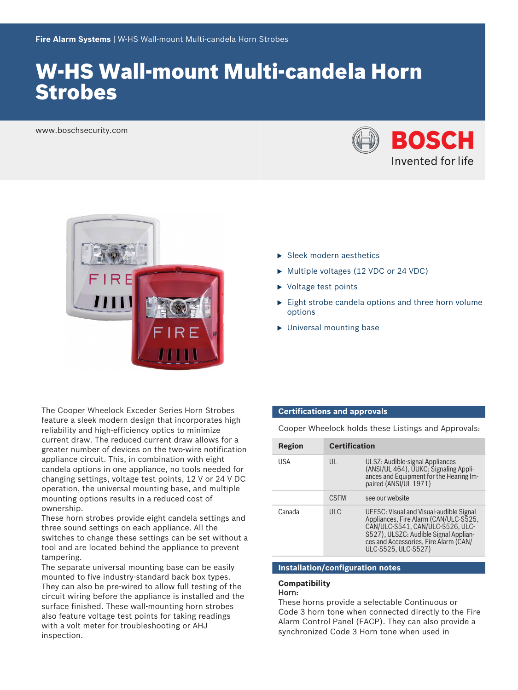# W‑HS Wall‑mount Multi‑candela Horn **Strobes**

www.boschsecurity.com





The Cooper Wheelock Exceder Series Horn Strobes feature a sleek modern design that incorporates high reliability and high-efficiency optics to minimize current draw. The reduced current draw allows for a greater number of devices on the two‑wire notification appliance circuit. This, in combination with eight candela options in one appliance, no tools needed for changing settings, voltage test points, 12 V or 24 V DC operation, the universal mounting base, and multiple mounting options results in a reduced cost of ownership.

These horn strobes provide eight candela settings and three sound settings on each appliance. All the switches to change these settings can be set without a tool and are located behind the appliance to prevent tampering.

The separate universal mounting base can be easily mounted to five industry‑standard back box types. They can also be pre‑wired to allow full testing of the circuit wiring before the appliance is installed and the surface finished. These wall-mounting horn strobes also feature voltage test points for taking readings with a volt meter for troubleshooting or AHJ inspection.

- $\blacktriangleright$  Sleek modern aesthetics
- $\triangleright$  Multiple voltages (12 VDC or 24 VDC)
- $\triangleright$  Voltage test points
- $\blacktriangleright$  Eight strobe candela options and three horn volume options
- $\blacktriangleright$  Universal mounting base

# **Certifications and approvals**

Cooper Wheelock holds these Listings and Approvals:

| Region     | <b>Certification</b> |                                                                                                                                                                                                                               |
|------------|----------------------|-------------------------------------------------------------------------------------------------------------------------------------------------------------------------------------------------------------------------------|
| <b>USA</b> | UL                   | ULSZ: Audible-signal Appliances<br>(ANSI/UL 464), UUKC: Signaling Appli-<br>ances and Equipment for the Hearing Im-<br>paired (ANSI/UL 1971)                                                                                  |
|            | <b>CSEM</b>          | see our website                                                                                                                                                                                                               |
| Canada     | ULC                  | UEESC: Visual and Visual-audible Signal<br>Appliances, Fire Alarm (CAN/ULC-S525,<br>CAN/ULC-S541, CAN/ULC-S526, ULC-<br>S527), ULSZC: Audible Signal Applian-<br>ces and Accessories, Fire Alarm (CAN/<br>ULC-S525, ULC-S527) |

### **Installation/configuration notes**

#### **Compatibility** Horn:

These horns provide a selectable Continuous or Code 3 horn tone when connected directly to the Fire Alarm Control Panel (FACP). They can also provide a synchronized Code 3 Horn tone when used in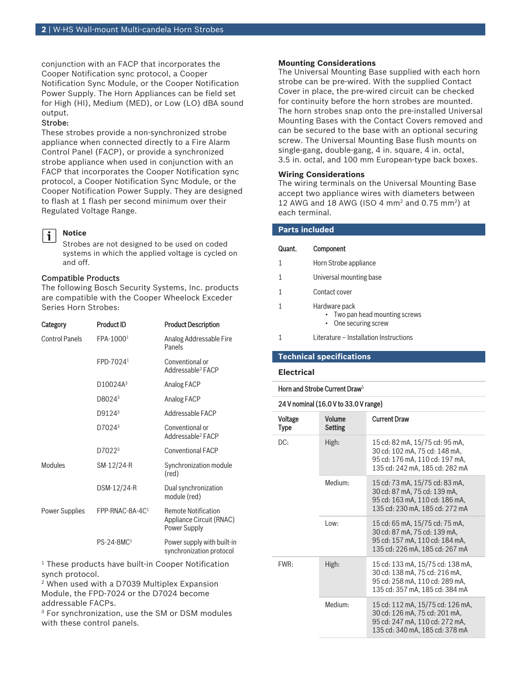conjunction with an FACP that incorporates the Cooper Notification sync protocol, a Cooper Notification Sync Module, or the Cooper Notification Power Supply. The Horn Appliances can be field set for High (HI), Medium (MED), or Low (LO) dBA sound output.

# Strobe:

These strobes provide a non-synchronized strobe appliance when connected directly to a Fire Alarm Control Panel (FACP), or provide a synchronized strobe appliance when used in conjunction with an FACP that incorporates the Cooper Notification sync protocol, a Cooper Notification Sync Module, or the Cooper Notification Power Supply. They are designed to flash at 1 flash per second minimum over their Regulated Voltage Range.

#### **Notice**  $\mathbf i$

Strobes are not designed to be used on coded systems in which the applied voltage is cycled on and off.

# Compatible Products

The following Bosch Security Systems, Inc. products are compatible with the Cooper Wheelock Exceder Series Horn Strobes:

| Category              | <b>Product ID</b>           | <b>Product Description</b>                                             |  |
|-----------------------|-----------------------------|------------------------------------------------------------------------|--|
| <b>Control Panels</b> | FPA-1000 <sup>1</sup>       | Analog Addressable Fire<br>Panels                                      |  |
|                       | FPD-7024 <sup>1</sup>       | Conventional or<br>Addressable <sup>2</sup> FACP                       |  |
|                       | D10024A <sup>3</sup>        | Analog FACP                                                            |  |
|                       | D8024 <sup>3</sup>          | Analog FACP                                                            |  |
|                       | D9124 <sup>3</sup>          | Addressable FACP                                                       |  |
|                       | D7024 <sup>3</sup>          | Conventional or<br>Addressable <sup>2</sup> FACP                       |  |
|                       | D7022 <sup>3</sup>          | <b>Conventional FACP</b>                                               |  |
| Modules               | SM-12/24-R                  | Synchronization module<br>(red)                                        |  |
|                       | DSM-12/24-R                 | Dual synchronization<br>module (red)                                   |  |
| Power Supplies        | FPP-RNAC-8A-4C <sup>1</sup> | <b>Remote Notification</b><br>Appliance Circuit (RNAC)<br>Power Supply |  |
|                       | PS-24-8MC <sup>1</sup>      | Power supply with built-in                                             |  |

<sup>1</sup> These products have built-in Cooper Notification synch protocol.

synchronization protocol

2 When used with a D7039 Multiplex Expansion Module, the FPD‑7024 or the D7024 become addressable FACPs.

3 For synchronization, use the SM or DSM modules with these control panels.

# **Mounting Considerations**

The Universal Mounting Base supplied with each horn strobe can be pre-wired. With the supplied Contact Cover in place, the pre‑wired circuit can be checked for continuity before the horn strobes are mounted. The horn strobes snap onto the pre-installed Universal Mounting Bases with the Contact Covers removed and can be secured to the base with an optional securing screw. The Universal Mounting Base flush mounts on single-gang, double-gang, 4 in. square, 4 in. octal, 3.5 in. octal, and 100 mm European-type back boxes.

# **Wiring Considerations**

The wiring terminals on the Universal Mounting Base accept two appliance wires with diameters between 12 AWG and 18 AWG (ISO 4 mm<sup>2</sup> and 0.75 mm<sup>2</sup>) at each terminal.

| <b>Parts included</b> |                                                                                    |  |  |
|-----------------------|------------------------------------------------------------------------------------|--|--|
| Quant.                | Component                                                                          |  |  |
| 1                     | Horn Strobe appliance                                                              |  |  |
|                       | Universal mounting base                                                            |  |  |
|                       | Contact cover                                                                      |  |  |
|                       | Hardware pack<br>• Two pan head mounting screws<br>One securing screw<br>$\bullet$ |  |  |
|                       | Literature - Installation Instructions                                             |  |  |

# **Technical specifications**

#### **Electrical**

### Horn and Strobe Current Draw<sup>5</sup>

|  |  |  |  |  | 24 V nominal (16.0 V to 33.0 V range) |
|--|--|--|--|--|---------------------------------------|
|--|--|--|--|--|---------------------------------------|

| Voltage<br><b>Type</b> | Volume<br>Setting | <b>Current Draw</b>                                                                                                                   |  |  |
|------------------------|-------------------|---------------------------------------------------------------------------------------------------------------------------------------|--|--|
| DC:                    | High:             | 15 cd: 82 mA, 15/75 cd: 95 mA,<br>30 cd: 102 mA, 75 cd: 148 mA,<br>95 cd: 176 mA, 110 cd: 197 mA,<br>135 cd: 242 mA, 185 cd: 282 mA   |  |  |
|                        | Medium:           | 15 cd: 73 mA, 15/75 cd: 83 mA,<br>30 cd: 87 mA, 75 cd: 139 mA,<br>95 cd: 163 mA, 110 cd: 186 mA,<br>135 cd: 230 mA, 185 cd: 272 mA    |  |  |
|                        | Low:              | 15 cd: 65 mA, 15/75 cd: 75 mA,<br>30 cd: 87 mA, 75 cd: 139 mA,<br>95 cd: 157 mA, 110 cd: 184 mA,<br>135 cd: 226 mA, 185 cd: 267 mA    |  |  |
| FWR:                   | High:             | 15 cd: 133 mA, 15/75 cd: 138 mA,<br>30 cd: 138 mA, 75 cd: 216 mA,<br>95 cd: 258 mA, 110 cd: 289 mA,<br>135 cd: 357 mA, 185 cd: 384 mA |  |  |
|                        | Medium:           | 15 cd: 112 mA, 15/75 cd: 126 mA,<br>30 cd: 126 mA, 75 cd: 201 mA,<br>95 cd: 247 mA, 110 cd: 272 mA,<br>135 cd: 340 mA, 185 cd: 378 mA |  |  |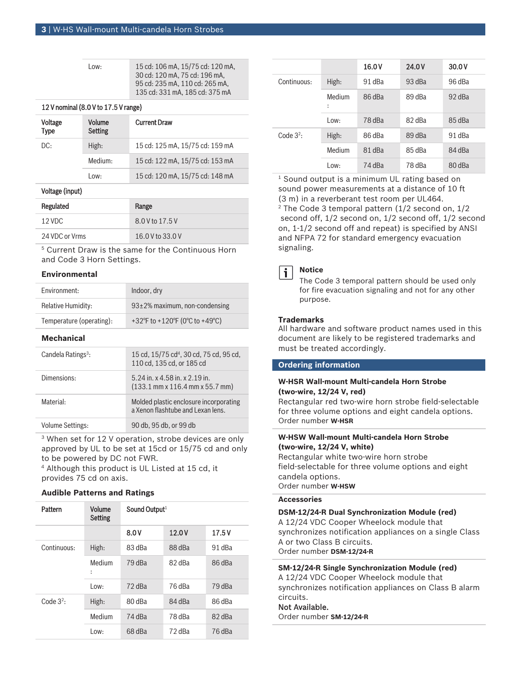| н<br>u |  |
|--------|--|
|        |  |

15 cd: 106 mA, 15/75 cd: 120 mA, 30 cd: 120 mA, 75 cd: 196 mA, 95 cd: 235 mA, 110 cd: 265 mA,

135 cd: 331 mA, 185 cd: 375 mA

### 12 V nominal (8.0 V to 17.5 V range)

| Voltage<br><b>Type</b> | Volume<br>Setting | <b>Current Draw</b>             |  |
|------------------------|-------------------|---------------------------------|--|
| DC:                    | High:             | 15 cd: 125 mA, 15/75 cd: 159 mA |  |
|                        | Medium:           | 15 cd: 122 mA, 15/75 cd: 153 mA |  |
|                        | l ow:             | 15 cd: 120 mA, 15/75 cd: 148 mA |  |

#### Voltage (input)

| Regulated      | Range            |
|----------------|------------------|
| 12 VDC         | 8.0 V to 17.5 V  |
| 24 VDC or Vrms | 16.0 V to 33.0 V |

5 Current Draw is the same for the Continuous Horn and Code 3 Horn Settings.

## **Environmental**

| Environment:             | Indoor, dry                        |
|--------------------------|------------------------------------|
| Relative Humidity:       | $93\pm2\%$ maximum, non-condensing |
| Temperature (operating): | +32°F to +120°F (0°C to +49°C)     |

#### **Mechanical**

| Candela Ratings <sup>3</sup> : | 15 cd, 15/75 cd <sup>4</sup> , 30 cd, 75 cd, 95 cd,<br>110 cd. 135 cd. or 185 cd                      |
|--------------------------------|-------------------------------------------------------------------------------------------------------|
| Dimensions:                    | 5.24 in. x 4.58 in. x 2.19 in.<br>$(133.1 \text{ mm} \times 116.4 \text{ mm} \times 55.7 \text{ mm})$ |
| Material:                      | Molded plastic enclosure incorporating<br>a Xenon flashtube and Lexan lens.                           |
| <b>Volume Settings:</b>        | 90 db, 95 db, or 99 db                                                                                |

3 When set for 12 V operation, strobe devices are only approved by UL to be set at 15cd or 15/75 cd and only to be powered by DC not FWR.

4 Although this product is UL Listed at 15 cd, it provides 75 cd on axis.

#### **Audible Patterns and Ratings**

| Pattern      | <b>Volume</b><br>Setting       | Sound Output <sup>1</sup> |        |        |
|--------------|--------------------------------|---------------------------|--------|--------|
|              |                                | 8.0V                      | 12.0V  | 17.5V  |
| Continuous:  | High:                          | 83 dBa                    | 88 dBa | 91 dBa |
|              | Medium<br>$\ddot{\phantom{a}}$ | 79 dBa                    | 82 dBa | 86 dBa |
|              | Low:                           | 72 dBa                    | 76 dBa | 79 dBa |
| Code $3^2$ : | High:                          | 80 dBa                    | 84 dBa | 86 dBa |
|              | Medium                         | 74 dBa                    | 78 dBa | 82 dBa |
|              | Low:                           | 68 dBa                    | 72 dBa | 76 dBa |

|              |                                | 16.0V  | 24.0V  | 30.0V  |
|--------------|--------------------------------|--------|--------|--------|
| Continuous:  | High:                          | 91 dBa | 93 dBa | 96 dBa |
|              | Medium<br>$\ddot{\phantom{a}}$ | 86 dBa | 89 dBa | 92 dBa |
|              | Low:                           | 78 dBa | 82 dBa | 85 dBa |
| Code $3^2$ : | High:                          | 86 dBa | 89 dBa | 91 dBa |
|              | Medium                         | 81 dBa | 85 dBa | 84 dBa |
|              | low:                           | 74 dBa | 78 dBa | 80 dBa |

1 Sound output is a minimum UL rating based on sound power measurements at a distance of 10 ft (3 m) in a reverberant test room per UL464.

2 The Code 3 temporal pattern (1/2 second on, 1/2 second off, 1/2 second on, 1/2 second off, 1/2 second on, 1-1/2 second off and repeat) is specified by ANSI and NFPA 72 for standard emergency evacuation signaling.



### **Notice**

The Code 3 temporal pattern should be used only for fire evacuation signaling and not for any other purpose.

# **Trademarks**

All hardware and software product names used in this document are likely to be registered trademarks and must be treated accordingly.

### **Ordering information**

# **W‑HSR Wall‑mount Multi‑candela Horn Strobe (two‑wire, 12/24 V, red)**

Rectangular red two‑wire horn strobe field‑selectable for three volume options and eight candela options. Order number **W-HSR**

# **W‑HSW Wall‑mount Multi‑candela Horn Strobe (two‑wire, 12/24 V, white)**

Rectangular white two‑wire horn strobe field‑selectable for three volume options and eight candela options. Order number **W-HSW**

#### **Accessories**

**DSM‑12/24‑R Dual Synchronization Module (red)** A 12/24 VDC Cooper Wheelock module that synchronizes notification appliances on a single Class A or two Class B circuits. Order number **DSM‑12/24‑R**

# **SM‑12/24‑R Single Synchronization Module (red)**

A 12/24 VDC Cooper Wheelock module that synchronizes notification appliances on Class B alarm circuits.

### Not Available.

Order number **SM‑12/24‑R**